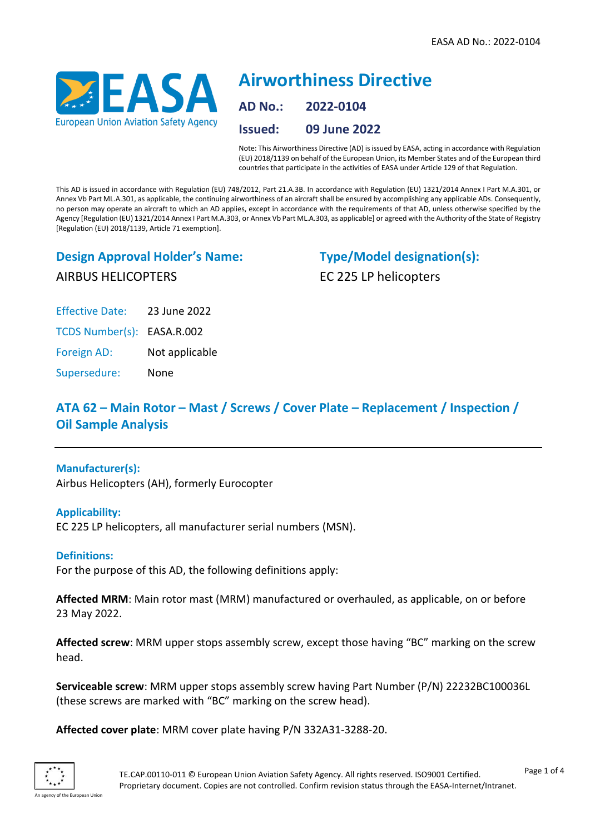

# **Airworthiness Directive AD No.: 2022-0104 Issued: 09 June 2022**

Note: This Airworthiness Directive (AD) is issued by EASA, acting in accordance with Regulation (EU) 2018/1139 on behalf of the European Union, its Member States and of the European third countries that participate in the activities of EASA under Article 129 of that Regulation.

This AD is issued in accordance with Regulation (EU) 748/2012, Part 21.A.3B. In accordance with Regulation (EU) 1321/2014 Annex I Part M.A.301, or Annex Vb Part ML.A.301, as applicable, the continuing airworthiness of an aircraft shall be ensured by accomplishing any applicable ADs. Consequently, no person may operate an aircraft to which an AD applies, except in accordance with the requirements of that AD, unless otherwise specified by the Agency [Regulation (EU) 1321/2014 Annex I Part M.A.303, or Annex Vb Part ML.A.303, as applicable] or agreed with the Authority of the State of Registry [Regulation (EU) 2018/1139, Article 71 exemption].

# **Design Approval Holder's Name:** AIRBUS HELICOPTERS

**Type/Model designation(s):** EC 225 LP helicopters

Effective Date: 23 June 2022

TCDS Number(s): EASA.R.002

Foreign AD: Not applicable

Supersedure: None

# **ATA 62 – Main Rotor – Mast / Screws / Cover Plate – Replacement / Inspection / Oil Sample Analysis**

# **Manufacturer(s):**

Airbus Helicopters (AH), formerly Eurocopter

# **Applicability:**

EC 225 LP helicopters, all manufacturer serial numbers (MSN).

# **Definitions:**

For the purpose of this AD, the following definitions apply:

**Affected MRM**: Main rotor mast (MRM) manufactured or overhauled, as applicable, on or before 23 May 2022.

**Affected screw**: MRM upper stops assembly screw, except those having "BC" marking on the screw head.

**Serviceable screw**: MRM upper stops assembly screw having Part Number (P/N) 22232BC100036L (these screws are marked with "BC" marking on the screw head).

**Affected cover plate**: MRM cover plate having P/N 332A31-3288-20.

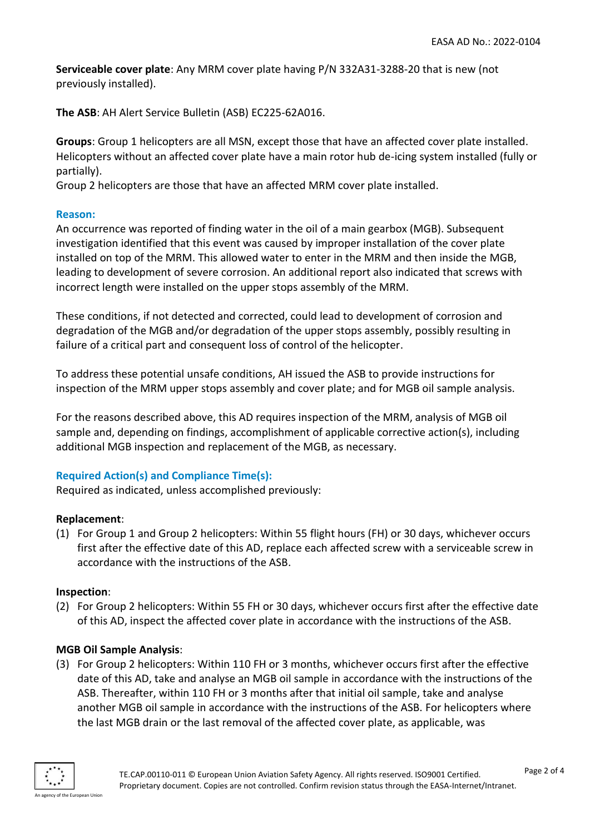**Serviceable cover plate**: Any MRM cover plate having P/N 332A31-3288-20 that is new (not previously installed).

**The ASB**: AH Alert Service Bulletin (ASB) EC225-62A016.

**Groups**: Group 1 helicopters are all MSN, except those that have an affected cover plate installed. Helicopters without an affected cover plate have a main rotor hub de-icing system installed (fully or partially).

Group 2 helicopters are those that have an affected MRM cover plate installed.

#### **Reason:**

An occurrence was reported of finding water in the oil of a main gearbox (MGB). Subsequent investigation identified that this event was caused by improper installation of the cover plate installed on top of the MRM. This allowed water to enter in the MRM and then inside the MGB, leading to development of severe corrosion. An additional report also indicated that screws with incorrect length were installed on the upper stops assembly of the MRM.

These conditions, if not detected and corrected, could lead to development of corrosion and degradation of the MGB and/or degradation of the upper stops assembly, possibly resulting in failure of a critical part and consequent loss of control of the helicopter.

To address these potential unsafe conditions, AH issued the ASB to provide instructions for inspection of the MRM upper stops assembly and cover plate; and for MGB oil sample analysis.

For the reasons described above, this AD requires inspection of the MRM, analysis of MGB oil sample and, depending on findings, accomplishment of applicable corrective action(s), including additional MGB inspection and replacement of the MGB, as necessary.

# **Required Action(s) and Compliance Time(s):**

Required as indicated, unless accomplished previously:

#### **Replacement**:

(1) For Group 1 and Group 2 helicopters: Within 55 flight hours (FH) or 30 days, whichever occurs first after the effective date of this AD, replace each affected screw with a serviceable screw in accordance with the instructions of the ASB.

#### **Inspection**:

(2) For Group 2 helicopters: Within 55 FH or 30 days, whichever occurs first after the effective date of this AD, inspect the affected cover plate in accordance with the instructions of the ASB.

#### **MGB Oil Sample Analysis**:

(3) For Group 2 helicopters: Within 110 FH or 3 months, whichever occurs first after the effective date of this AD, take and analyse an MGB oil sample in accordance with the instructions of the ASB. Thereafter, within 110 FH or 3 months after that initial oil sample, take and analyse another MGB oil sample in accordance with the instructions of the ASB. For helicopters where the last MGB drain or the last removal of the affected cover plate, as applicable, was

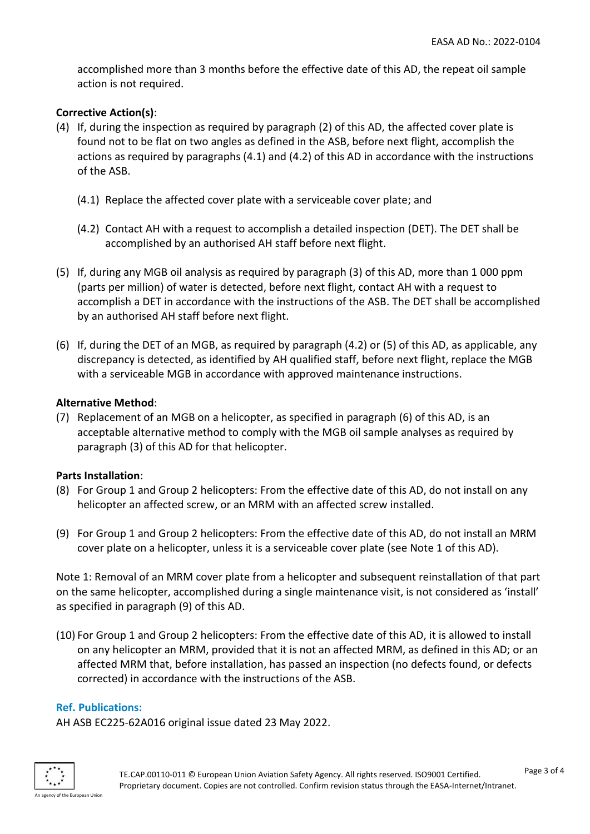accomplished more than 3 months before the effective date of this AD, the repeat oil sample action is not required.

# **Corrective Action(s)**:

- (4) If, during the inspection as required by paragraph (2) of this AD, the affected cover plate is found not to be flat on two angles as defined in the ASB, before next flight, accomplish the actions as required by paragraphs (4.1) and (4.2) of this AD in accordance with the instructions of the ASB.
	- (4.1) Replace the affected cover plate with a serviceable cover plate; and
	- (4.2) Contact AH with a request to accomplish a detailed inspection (DET). The DET shall be accomplished by an authorised AH staff before next flight.
- (5) If, during any MGB oil analysis as required by paragraph (3) of this AD, more than 1 000 ppm (parts per million) of water is detected, before next flight, contact AH with a request to accomplish a DET in accordance with the instructions of the ASB. The DET shall be accomplished by an authorised AH staff before next flight.
- (6) If, during the DET of an MGB, as required by paragraph (4.2) or (5) of this AD, as applicable, any discrepancy is detected, as identified by AH qualified staff, before next flight, replace the MGB with a serviceable MGB in accordance with approved maintenance instructions.

# **Alternative Method**:

(7) Replacement of an MGB on a helicopter, as specified in paragraph (6) of this AD, is an acceptable alternative method to comply with the MGB oil sample analyses as required by paragraph (3) of this AD for that helicopter.

# **Parts Installation**:

- (8) For Group 1 and Group 2 helicopters: From the effective date of this AD, do not install on any helicopter an affected screw, or an MRM with an affected screw installed.
- (9) For Group 1 and Group 2 helicopters: From the effective date of this AD, do not install an MRM cover plate on a helicopter, unless it is a serviceable cover plate (see Note 1 of this AD).

Note 1: Removal of an MRM cover plate from a helicopter and subsequent reinstallation of that part on the same helicopter, accomplished during a single maintenance visit, is not considered as 'install' as specified in paragraph (9) of this AD.

(10) For Group 1 and Group 2 helicopters: From the effective date of this AD, it is allowed to install on any helicopter an MRM, provided that it is not an affected MRM, as defined in this AD; or an affected MRM that, before installation, has passed an inspection (no defects found, or defects corrected) in accordance with the instructions of the ASB.

#### **Ref. Publications:**

AH ASB EC225-62A016 original issue dated 23 May 2022.